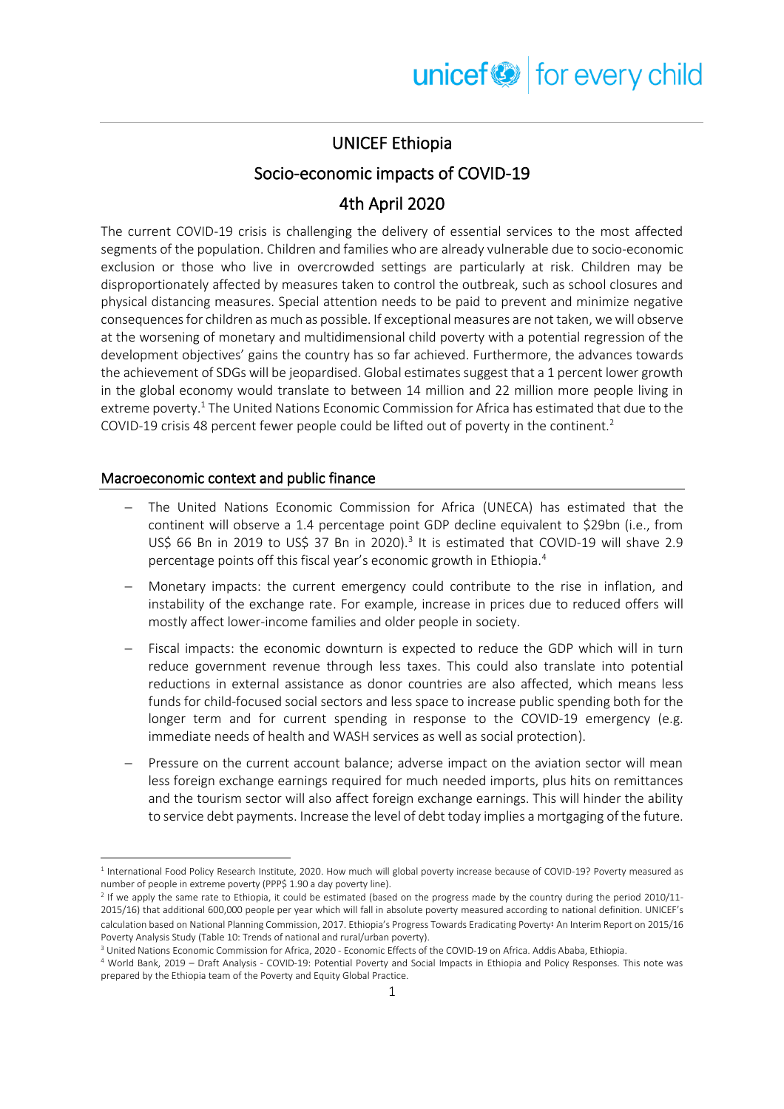## UNICEF Ethiopia

### Socio-economic impacts of COVID-19

## 4th April 2020

The current COVID-19 crisis is challenging the delivery of essential services to the most affected segments of the population. Children and families who are already vulnerable due to socio-economic exclusion or those who live in overcrowded settings are particularly at risk. Children may be disproportionately affected by measures taken to control the outbreak, such as school closures and physical distancing measures. Special attention needs to be paid to prevent and minimize negative consequences for children as much as possible. If exceptional measures are not taken, we will observe at the worsening of monetary and multidimensional child poverty with a potential regression of the development objectives' gains the country has so far achieved. Furthermore, the advances towards the achievement of SDGs will be jeopardised. Global estimates suggest that a 1 percent lower growth in the global economy would translate to between 14 million and 22 million more people living in extreme poverty.<sup>1</sup> The United Nations Economic Commission for Africa has estimated that due to the COVID-19 crisis 48 percent fewer people could be lifted out of poverty in the continent.<sup>2</sup>

#### Macroeconomic context and public finance

- − The United Nations Economic Commission for Africa (UNECA) has estimated that the continent will observe a 1.4 percentage point GDP decline equivalent to \$29bn (i.e., from US\$ 66 Bn in 2019 to US\$ 37 Bn in 2020).<sup>3</sup> It is estimated that COVID-19 will shave 2.9 percentage points off this fiscal year's economic growth in Ethiopia.<sup>4</sup>
- Monetary impacts: the current emergency could contribute to the rise in inflation, and instability of the exchange rate. For example, increase in prices due to reduced offers will mostly affect lower-income families and older people in society.
- Fiscal impacts: the economic downturn is expected to reduce the GDP which will in turn reduce government revenue through less taxes. This could also translate into potential reductions in external assistance as donor countries are also affected, which means less funds for child-focused social sectors and less space to increase public spending both for the longer term and for current spending in response to the COVID-19 emergency (e.g. immediate needs of health and WASH services as well as social protection).
- Pressure on the current account balance; adverse impact on the aviation sector will mean less foreign exchange earnings required for much needed imports, plus hits on remittances and the tourism sector will also affect foreign exchange earnings. This will hinder the ability to service debt payments. Increase the level of debt today implies a mortgaging of the future.

<sup>&</sup>lt;sup>1</sup> International Food Policy Research Institute, 2020. How much will global poverty increase because of COVID-19? Poverty measured as number of people in extreme poverty (PPP\$ 1.90 a day poverty line).

<sup>2</sup> If we apply the same rate to Ethiopia, it could be estimated (based on the progress made by the country during the period 2010/11- 2015/16) that additional 600,000 people per year which will fall in absolute poverty measured according to national definition. UNICEF's calculation based on National Planning Commission, 2017. Ethiopia's Progress Towards Eradicating Poverty፡ An Interim Report on 2015/16 Poverty Analysis Study (Table 10: Trends of national and rural/urban poverty).

<sup>&</sup>lt;sup>3</sup> United Nations Economic Commission for Africa, 2020 - Economic Effects of the COVID-19 on Africa. Addis Ababa, Ethiopia.

<sup>4</sup> World Bank, 2019 – Draft Analysis - COVID-19: Potential Poverty and Social Impacts in Ethiopia and Policy Responses. This note was prepared by the Ethiopia team of the Poverty and Equity Global Practice.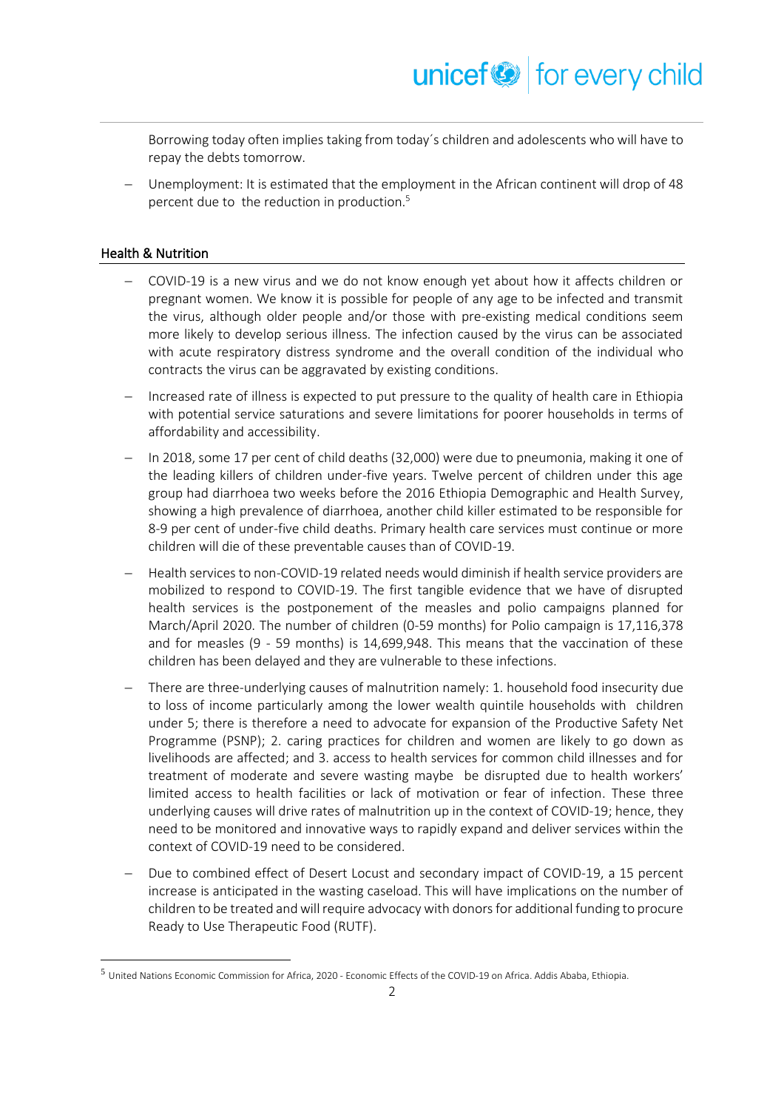Borrowing today often implies taking from today´s children and adolescents who will have to repay the debts tomorrow.

Unemployment: It is estimated that the employment in the African continent will drop of 48 percent due to the reduction in production. 5

#### Health & Nutrition

- − COVID-19 is a new virus and we do not know enough yet about how it affects children or pregnant women. We know it is possible for people of any age to be infected and transmit the virus, although older people and/or those with pre-existing medical conditions seem more likely to develop serious illness. The infection caused by the virus can be associated with acute respiratory distress syndrome and the overall condition of the individual who contracts the virus can be aggravated by existing conditions.
- − Increased rate of illness is expected to put pressure to the quality of health care in Ethiopia with potential service saturations and severe limitations for poorer households in terms of affordability and accessibility.
- − In 2018, some 17 per cent of child deaths (32,000) were due to pneumonia, making it one of the leading killers of children under-five years. Twelve percent of children under this age group had diarrhoea two weeks before the 2016 Ethiopia Demographic and Health Survey, showing a high prevalence of diarrhoea, another child killer estimated to be responsible for 8-9 per cent of under-five child deaths. Primary health care services must continue or more children will die of these preventable causes than of COVID-19.
- − Health services to non-COVID-19 related needs would diminish if health service providers are mobilized to respond to COVID-19. The first tangible evidence that we have of disrupted health services is the postponement of the measles and polio campaigns planned for March/April 2020. The number of children (0-59 months) for Polio campaign is 17,116,378 and for measles (9 - 59 months) is 14,699,948. This means that the vaccination of these children has been delayed and they are vulnerable to these infections.
- There are three-underlying causes of malnutrition namely: 1. household food insecurity due to loss of income particularly among the lower wealth quintile households with children under 5; there is therefore a need to advocate for expansion of the Productive Safety Net Programme (PSNP); 2. caring practices for children and women are likely to go down as livelihoods are affected; and 3. access to health services for common child illnesses and for treatment of moderate and severe wasting maybe be disrupted due to health workers' limited access to health facilities or lack of motivation or fear of infection. These three underlying causes will drive rates of malnutrition up in the context of COVID-19; hence, they need to be monitored and innovative ways to rapidly expand and deliver services within the context of COVID-19 need to be considered.
- Due to combined effect of Desert Locust and secondary impact of COVID-19, a 15 percent increase is anticipated in the wasting caseload. This will have implications on the number of children to be treated andwill require advocacy with donors for additional funding to procure Ready to Use Therapeutic Food (RUTF).

<sup>5</sup> United Nations Economic Commission for Africa, 2020 - Economic Effects of the COVID-19 on Africa. Addis Ababa, Ethiopia.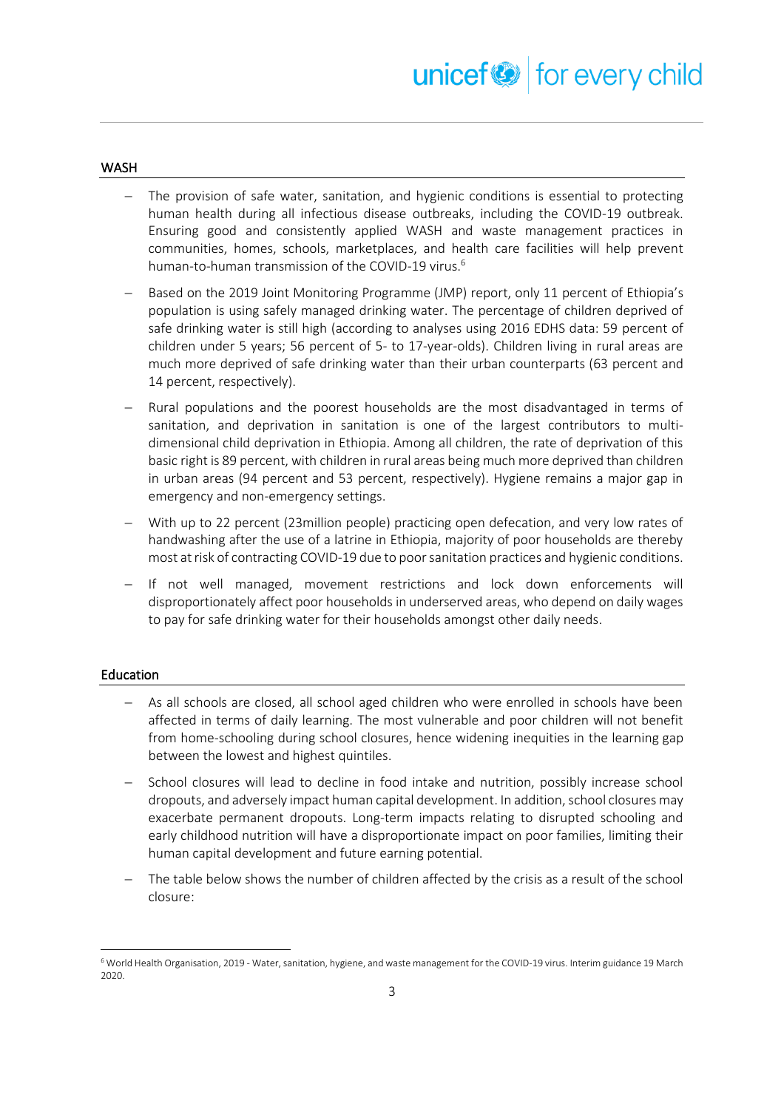#### WASH

- The provision of safe water, sanitation, and hygienic conditions is essential to protecting human health during all infectious disease outbreaks, including the COVID-19 outbreak. Ensuring good and consistently applied WASH and waste management practices in communities, homes, schools, marketplaces, and health care facilities will help prevent human-to-human transmission of the COVID-19 virus.<sup>6</sup>
- Based on the 2019 Joint Monitoring Programme (JMP) report, only 11 percent of Ethiopia's population is using safely managed drinking water. The percentage of children deprived of safe drinking water is still high (according to analyses using 2016 EDHS data: 59 percent of children under 5 years; 56 percent of 5- to 17-year-olds). Children living in rural areas are much more deprived of safe drinking water than their urban counterparts (63 percent and 14 percent, respectively).
- − Rural populations and the poorest households are the most disadvantaged in terms of sanitation, and deprivation in sanitation is one of the largest contributors to multidimensional child deprivation in Ethiopia. Among all children, the rate of deprivation of this basic right is 89 percent, with children in rural areas being much more deprived than children in urban areas (94 percent and 53 percent, respectively). Hygiene remains a major gap in emergency and non-emergency settings.
- With up to 22 percent (23million people) practicing open defecation, and very low rates of handwashing after the use of a latrine in Ethiopia, majority of poor households are thereby most at risk of contracting COVID-19 due to poor sanitation practices and hygienic conditions.
- − If not well managed, movement restrictions and lock down enforcements will disproportionately affect poor households in underserved areas, who depend on daily wages to pay for safe drinking water for their households amongst other daily needs.

#### Education

- − As all schools are closed, all school aged children who were enrolled in schools have been affected in terms of daily learning. The most vulnerable and poor children will not benefit from home-schooling during school closures, hence widening inequities in the learning gap between the lowest and highest quintiles.
- School closures will lead to decline in food intake and nutrition, possibly increase school dropouts, and adversely impact human capital development. In addition, school closures may exacerbate permanent dropouts. Long-term impacts relating to disrupted schooling and early childhood nutrition will have a disproportionate impact on poor families, limiting their human capital development and future earning potential.
- The table below shows the number of children affected by the crisis as a result of the school closure:

<sup>6</sup> World Health Organisation, 2019 - Water, sanitation, hygiene, and waste management for the COVID-19 virus. Interim guidance 19 March 2020.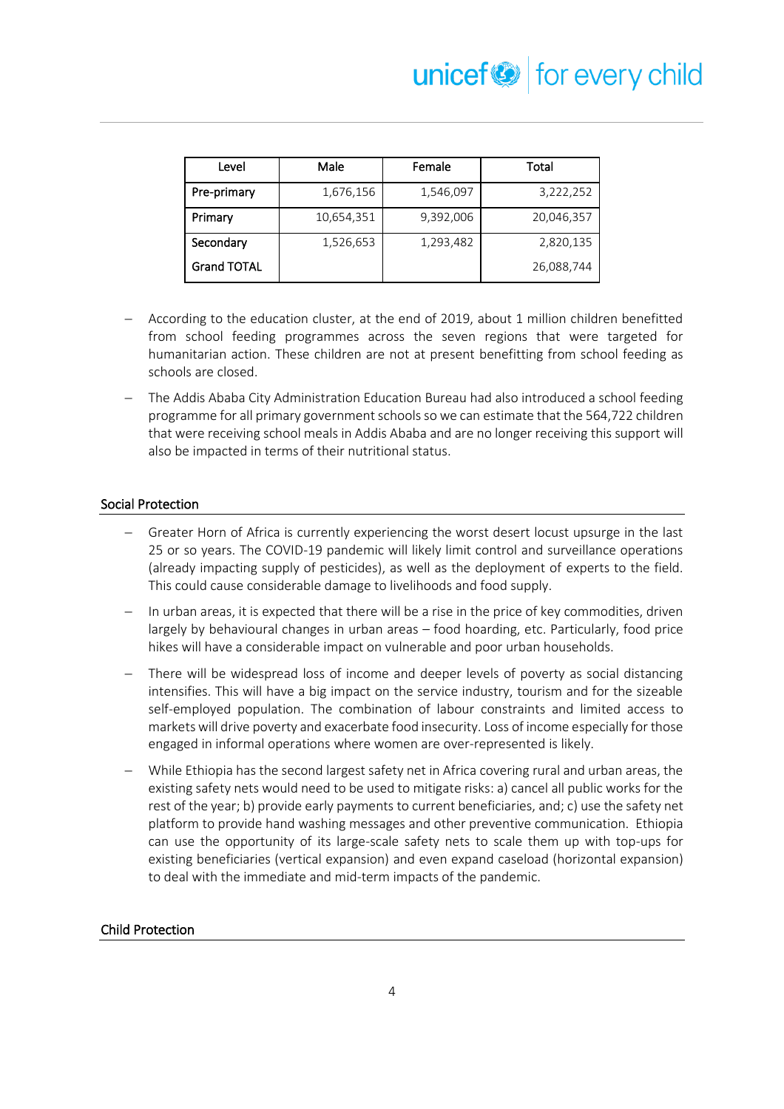| Level              | Male       | Female    | Total      |
|--------------------|------------|-----------|------------|
| Pre-primary        | 1,676,156  | 1,546,097 | 3,222,252  |
| Primary            | 10,654,351 | 9,392,006 | 20,046,357 |
| Secondary          | 1,526,653  | 1,293,482 | 2,820,135  |
| <b>Grand TOTAL</b> |            |           | 26,088,744 |

- According to the education cluster, at the end of 2019, about 1 million children benefitted from school feeding programmes across the seven regions that were targeted for humanitarian action. These children are not at present benefitting from school feeding as schools are closed.
- − The Addis Ababa City Administration Education Bureau had also introduced a school feeding programme for all primary government schools so we can estimate that the 564,722 children that were receiving school meals in Addis Ababa and are no longer receiving this support will also be impacted in terms of their nutritional status.

#### Social Protection

- Greater Horn of Africa is currently experiencing the worst desert locust upsurge in the last 25 or so years. The COVID-19 pandemic will likely limit control and surveillance operations (already impacting supply of pesticides), as well as the deployment of experts to the field. This could cause considerable damage to livelihoods and food supply.
- In urban areas, it is expected that there will be a rise in the price of key commodities, driven largely by behavioural changes in urban areas – food hoarding, etc. Particularly, food price hikes will have a considerable impact on vulnerable and poor urban households.
- There will be widespread loss of income and deeper levels of poverty as social distancing intensifies. This will have a big impact on the service industry, tourism and for the sizeable self-employed population. The combination of labour constraints and limited access to markets will drive poverty and exacerbate food insecurity. Loss of income especially for those engaged in informal operations where women are over-represented is likely.
- − While Ethiopia has the second largest safety net in Africa covering rural and urban areas, the existing safety nets would need to be used to mitigate risks: a) cancel all public works for the rest of the year; b) provide early payments to current beneficiaries, and; c) use the safety net platform to provide hand washing messages and other preventive communication. Ethiopia can use the opportunity of its large-scale safety nets to scale them up with top-ups for existing beneficiaries (vertical expansion) and even expand caseload (horizontal expansion) to deal with the immediate and mid-term impacts of the pandemic.

#### Child Protection